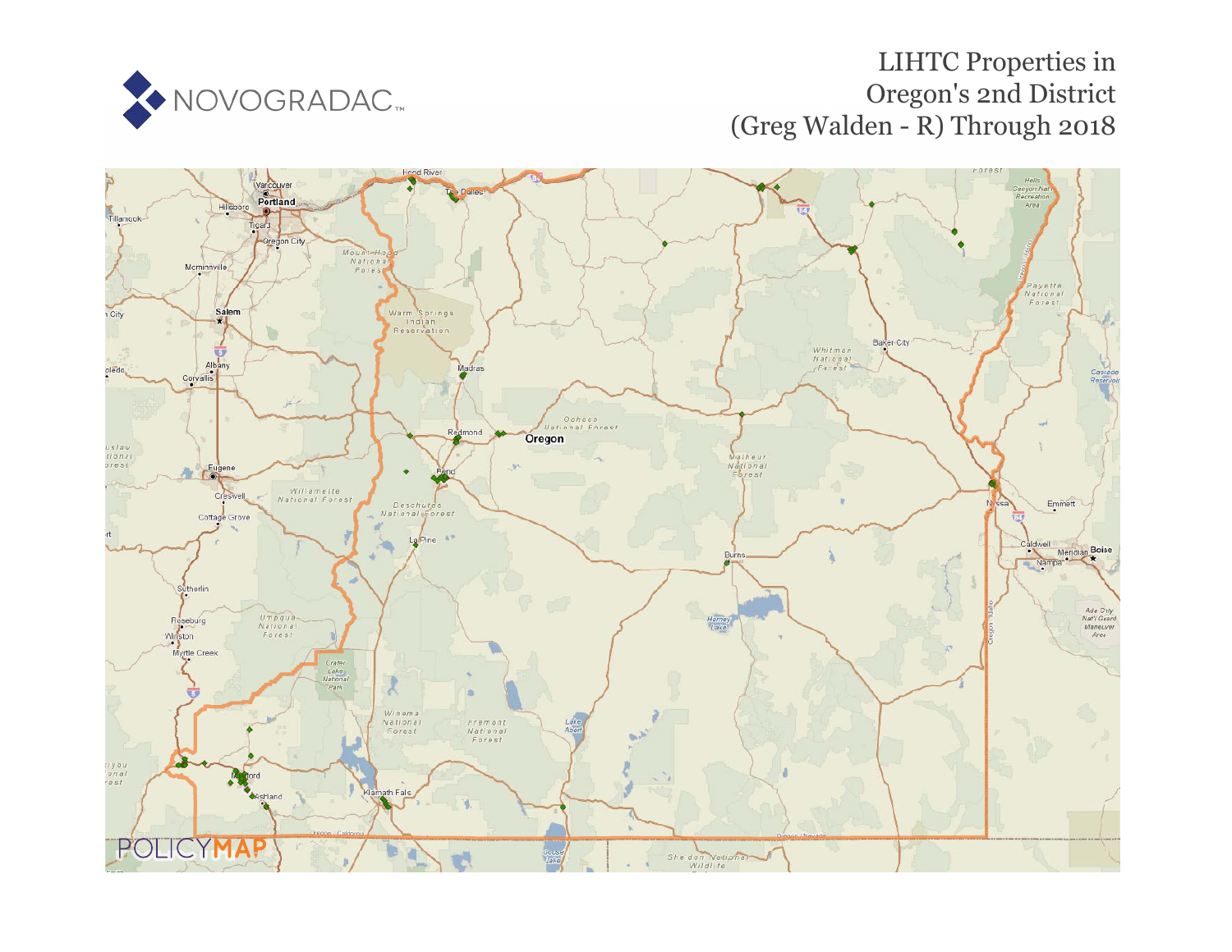

# LIHTC Properties in Oregon's 2nd District (Greg Walden - R) Through 2018

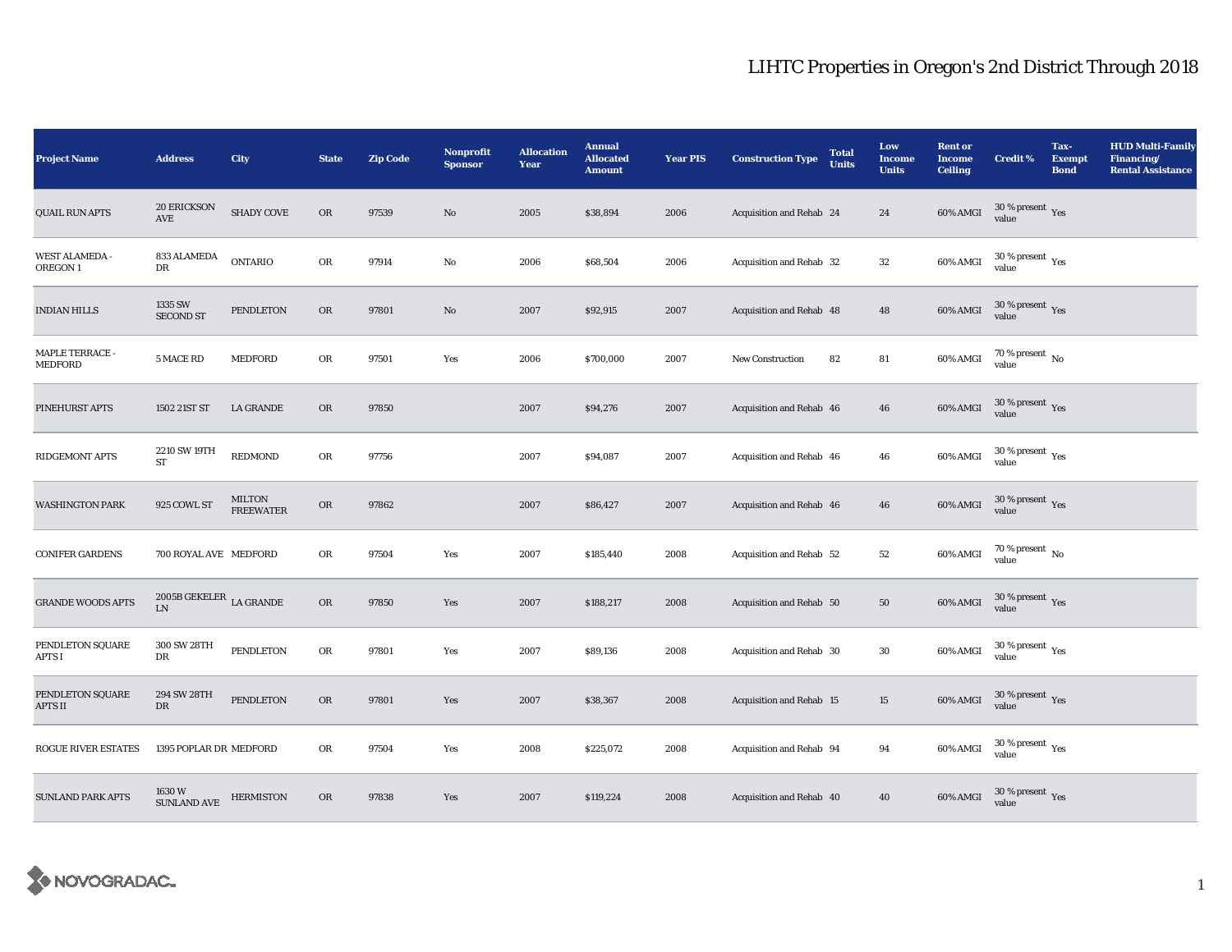| <b>Project Name</b>                | <b>Address</b>                                 | City                       | <b>State</b> | <b>Zip Code</b> | Nonprofit<br><b>Sponsor</b> | <b>Allocation</b><br>Year | <b>Annual</b><br><b>Allocated</b><br><b>Amount</b> | <b>Year PIS</b> | <b>Construction Type</b> | <b>Total</b><br><b>Units</b> | Low<br><b>Income</b><br><b>Units</b> | <b>Rent or</b><br><b>Income</b><br><b>Ceiling</b> | <b>Credit %</b>                         | Tax-<br><b>Exempt</b><br><b>Bond</b> | <b>HUD Multi-Family</b><br>Financing/<br><b>Rental Assistance</b> |
|------------------------------------|------------------------------------------------|----------------------------|--------------|-----------------|-----------------------------|---------------------------|----------------------------------------------------|-----------------|--------------------------|------------------------------|--------------------------------------|---------------------------------------------------|-----------------------------------------|--------------------------------------|-------------------------------------------------------------------|
| <b>QUAIL RUN APTS</b>              | <b>20 ERICKSON</b><br>AVE                      | <b>SHADY COVE</b>          | OR           | 97539           | $\rm No$                    | 2005                      | \$38,894                                           | 2006            | Acquisition and Rehab 24 |                              | 24                                   | <b>60% AMGI</b>                                   | $30\,\%$ present $\,\mathrm{Yes}$ value |                                      |                                                                   |
| <b>WEST ALAMEDA -</b><br>OREGON 1  | 833 ALAMEDA<br>DR                              | <b>ONTARIO</b>             | OR           | 97914           | No                          | 2006                      | \$68,504                                           | 2006            | Acquisition and Rehab 32 |                              | $32\,$                               | 60% AMGI                                          | 30 % present $\rm\,Yes$<br>value        |                                      |                                                                   |
| <b>INDIAN HILLS</b>                | 1335 SW<br><b>SECOND ST</b>                    | <b>PENDLETON</b>           | ${\rm OR}$   | 97801           | $\rm No$                    | 2007                      | \$92,915                                           | 2007            | Acquisition and Rehab 48 |                              | 48                                   | 60% AMGI                                          | $30\,\%$ present $\,\mathrm{Yes}$ value |                                      |                                                                   |
| <b>MAPLE TERRACE -</b><br>MEDFORD  | 5 MACE RD                                      | MEDFORD                    | OR           | 97501           | Yes                         | 2006                      | \$700,000                                          | 2007            | <b>New Construction</b>  | 82                           | ${\bf 81}$                           | 60% AMGI                                          | $70\,\%$ present $\,$ No value          |                                      |                                                                   |
| PINEHURST APTS                     | 1502 21ST ST                                   | LA GRANDE                  | OR           | 97850           |                             | 2007                      | \$94,276                                           | 2007            | Acquisition and Rehab 46 |                              | 46                                   | 60% AMGI                                          | $30\,\%$ present $\,\mathrm{Yes}$ value |                                      |                                                                   |
| RIDGEMONT APTS                     | 2210 SW 19TH<br>ST                             | <b>REDMOND</b>             | OR           | 97756           |                             | 2007                      | \$94,087                                           | 2007            | Acquisition and Rehab 46 |                              | 46                                   | 60% AMGI                                          | $30\,\%$ present $\,\mathrm{Yes}$ value |                                      |                                                                   |
| <b>WASHINGTON PARK</b>             | 925 COWL ST                                    | MILTON<br><b>FREEWATER</b> | ${\rm OR}$   | 97862           |                             | 2007                      | \$86,427                                           | 2007            | Acquisition and Rehab 46 |                              | 46                                   | 60% AMGI                                          | $30\,\%$ present $\,\mathrm{Yes}$ value |                                      |                                                                   |
| <b>CONIFER GARDENS</b>             | 700 ROYAL AVE MEDFORD                          |                            | OR           | 97504           | Yes                         | 2007                      | \$185,440                                          | 2008            | Acquisition and Rehab 52 |                              | $^{\rm 52}$                          | 60% AMGI                                          | $70$ % present $\,$ No $\,$<br>value    |                                      |                                                                   |
| <b>GRANDE WOODS APTS</b>           | 2005<br>B GEKELER $\;$ LA GRANDE<br>${\rm LN}$ |                            | ${\rm OR}$   | 97850           | Yes                         | 2007                      | \$188,217                                          | 2008            | Acquisition and Rehab 50 |                              | ${\bf 50}$                           | 60% AMGI                                          | $30\,\%$ present $\,$ Yes value         |                                      |                                                                   |
| PENDLETON SQUARE<br>APTS I         | 300 SW 28TH<br>DR                              | <b>PENDLETON</b>           | OR           | 97801           | Yes                         | 2007                      | \$89,136                                           | 2008            | Acquisition and Rehab 30 |                              | $30\,$                               | 60% AMGI                                          | $30\,\%$ present $\,\mathrm{Yes}$ value |                                      |                                                                   |
| PENDLETON SQUARE<br><b>APTS II</b> | 294 SW 28TH<br>DR                              | <b>PENDLETON</b>           | OR           | 97801           | Yes                         | 2007                      | \$38,367                                           | 2008            | Acquisition and Rehab 15 |                              | 15                                   | 60% AMGI                                          | $30\,\%$ present $\,\mathrm{Yes}$ value |                                      |                                                                   |
| <b>ROGUE RIVER ESTATES</b>         | 1395 POPLAR DR MEDFORD                         |                            | ${\rm OR}$   | 97504           | Yes                         | 2008                      | \$225,072                                          | 2008            | Acquisition and Rehab 94 |                              | 94                                   | 60% AMGI                                          | $30\,\%$ present $\,\mathrm{Yes}$ value |                                      |                                                                   |
| <b>SUNLAND PARK APTS</b>           | 1630 W<br><b>SUNLAND AVE</b>                   | <b>HERMISTON</b>           | OR           | 97838           | Yes                         | 2007                      | \$119,224                                          | 2008            | Acquisition and Rehab 40 |                              | 40                                   | 60% AMGI                                          | $30\,\%$ present $\,\mathrm{Yes}$ value |                                      |                                                                   |

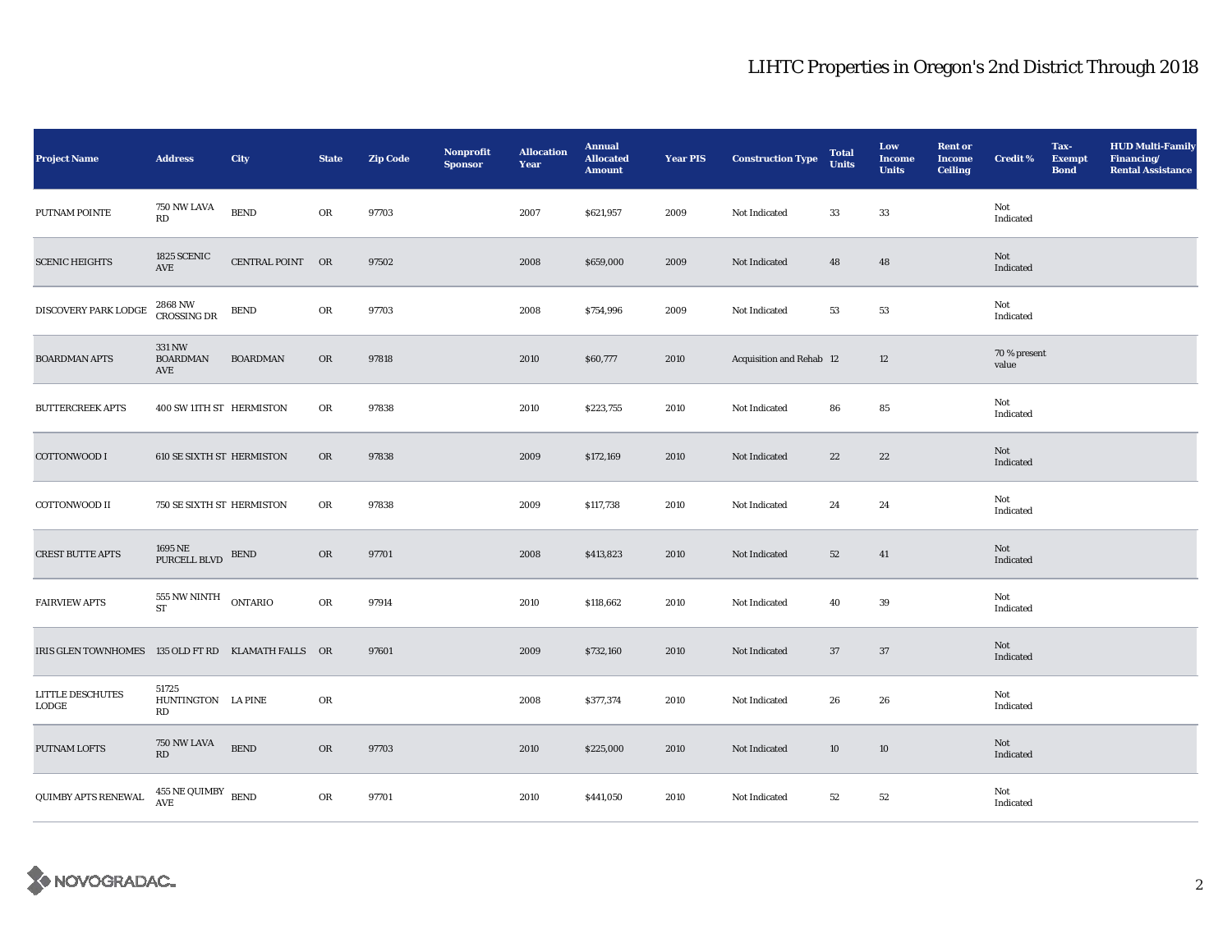| <b>Project Name</b>                                | <b>Address</b>                    | City             | <b>State</b> | <b>Zip Code</b> | <b>Nonprofit</b><br><b>Sponsor</b> | <b>Allocation</b><br>Year | <b>Annual</b><br><b>Allocated</b><br><b>Amount</b> | <b>Year PIS</b> | <b>Construction Type</b> | <b>Total</b><br><b>Units</b> | Low<br><b>Income</b><br><b>Units</b> | <b>Rent or</b><br><b>Income</b><br><b>Ceiling</b> | <b>Credit %</b>       | Tax-<br><b>Exempt</b><br><b>Bond</b> | <b>HUD Multi-Family</b><br>Financing/<br><b>Rental Assistance</b> |
|----------------------------------------------------|-----------------------------------|------------------|--------------|-----------------|------------------------------------|---------------------------|----------------------------------------------------|-----------------|--------------------------|------------------------------|--------------------------------------|---------------------------------------------------|-----------------------|--------------------------------------|-------------------------------------------------------------------|
| PUTNAM POINTE                                      | 750 NW LAVA<br>RD                 | <b>BEND</b>      | OR           | 97703           |                                    | 2007                      | \$621,957                                          | 2009            | Not Indicated            | 33                           | 33                                   |                                                   | Not<br>Indicated      |                                      |                                                                   |
| <b>SCENIC HEIGHTS</b>                              | 1825 SCENIC<br>AVE                | CENTRAL POINT OR |              | 97502           |                                    | 2008                      | \$659,000                                          | 2009            | Not Indicated            | 48                           | ${\bf 48}$                           |                                                   | Not<br>Indicated      |                                      |                                                                   |
| DISCOVERY PARK LODGE                               | 2868 NW<br>CROSSING DR            | ${\tt BEND}$     | OR           | 97703           |                                    | 2008                      | \$754,996                                          | 2009            | Not Indicated            | 53                           | 53                                   |                                                   | Not<br>Indicated      |                                      |                                                                   |
| <b>BOARDMAN APTS</b>                               | 331 NW<br><b>BOARDMAN</b><br>AVE  | <b>BOARDMAN</b>  | OR           | 97818           |                                    | 2010                      | \$60,777                                           | 2010            | Acquisition and Rehab 12 |                              | $12\,$                               |                                                   | 70 % present<br>value |                                      |                                                                   |
| <b>BUTTERCREEK APTS</b>                            | 400 SW 11TH ST HERMISTON          |                  | OR           | 97838           |                                    | 2010                      | \$223,755                                          | 2010            | Not Indicated            | 86                           | 85                                   |                                                   | Not<br>Indicated      |                                      |                                                                   |
| COTTONWOOD I                                       | <b>610 SE SIXTH ST HERMISTON</b>  |                  | OR           | 97838           |                                    | 2009                      | \$172,169                                          | 2010            | Not Indicated            | 22                           | 22                                   |                                                   | Not<br>Indicated      |                                      |                                                                   |
| COTTONWOOD II                                      | 750 SE SIXTH ST HERMISTON         |                  | OR           | 97838           |                                    | 2009                      | \$117,738                                          | 2010            | Not Indicated            | 24                           | 24                                   |                                                   | Not<br>Indicated      |                                      |                                                                   |
| <b>CREST BUTTE APTS</b>                            | 1695 NE<br>PURCELL BLVD           | <b>BEND</b>      | OR           | 97701           |                                    | 2008                      | \$413,823                                          | 2010            | Not Indicated            | 52                           | 41                                   |                                                   | Not<br>Indicated      |                                      |                                                                   |
| <b>FAIRVIEW APTS</b>                               | 555 NW NINTH ONTARIO<br>ST        |                  | OR           | 97914           |                                    | 2010                      | \$118,662                                          | 2010            | Not Indicated            | 40                           | 39                                   |                                                   | Not<br>Indicated      |                                      |                                                                   |
| IRIS GLEN TOWNHOMES 135 OLD FT RD KLAMATH FALLS OR |                                   |                  |              | 97601           |                                    | 2009                      | \$732,160                                          | 2010            | Not Indicated            | 37                           | 37                                   |                                                   | Not<br>Indicated      |                                      |                                                                   |
| LITTLE DESCHUTES<br>LODGE                          | 51725<br>HUNTINGTON LA PINE<br>RD |                  | OR           |                 |                                    | 2008                      | \$377,374                                          | 2010            | Not Indicated            | 26                           | 26                                   |                                                   | Not<br>Indicated      |                                      |                                                                   |
| PUTNAM LOFTS                                       | 750 NW LAVA<br>RD                 | ${\tt BEND}$     | OR           | 97703           |                                    | 2010                      | \$225,000                                          | 2010            | Not Indicated            | 10                           | 10                                   |                                                   | Not<br>Indicated      |                                      |                                                                   |
| QUIMBY APTS RENEWAL                                | $455$ NE QUIMBY $\,$ BEND<br>AVE  |                  | OR           | 97701           |                                    | 2010                      | \$441,050                                          | 2010            | Not Indicated            | 52                           | $^{\rm 52}$                          |                                                   | Not<br>Indicated      |                                      |                                                                   |

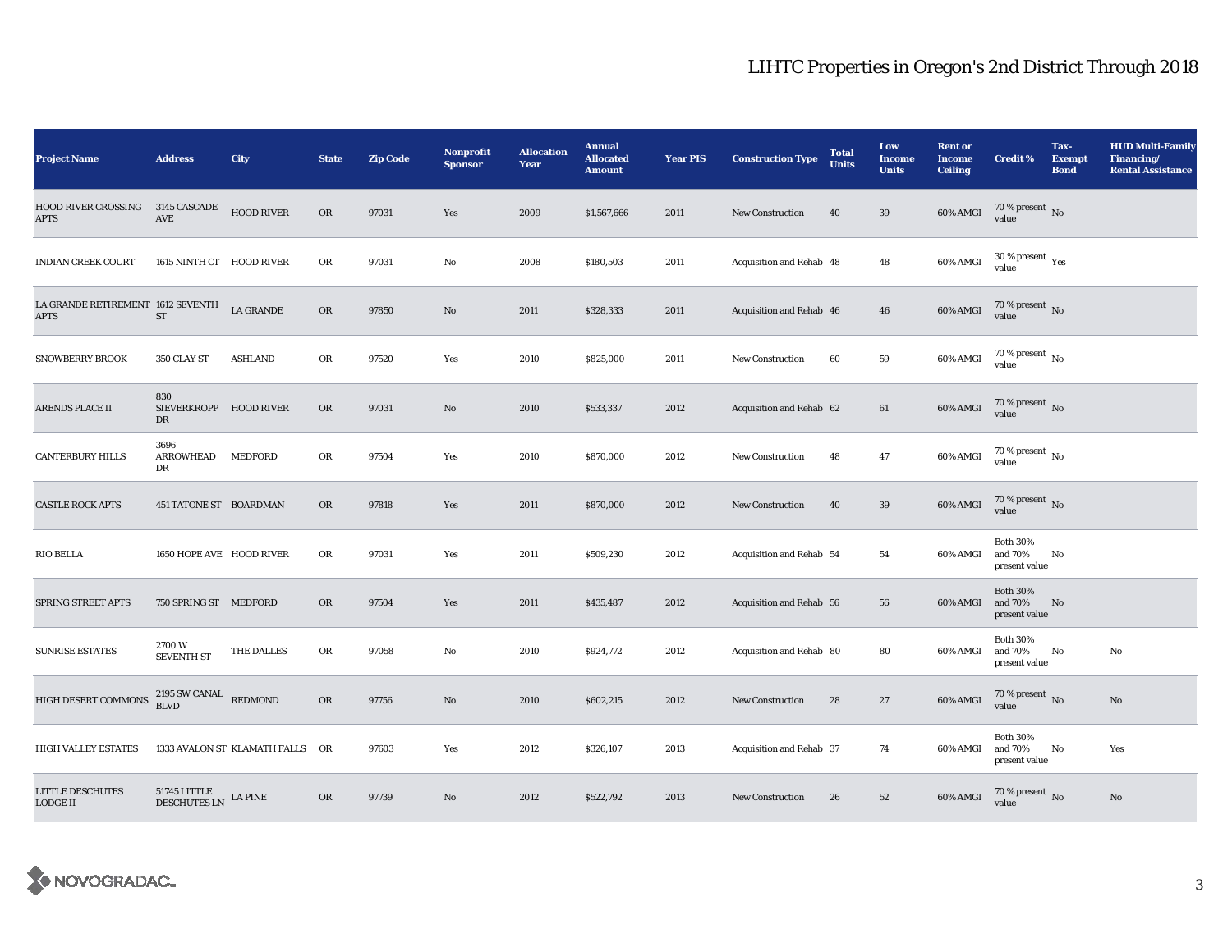| <b>Project Name</b>                              | <b>Address</b>                                | City                            | <b>State</b> | <b>Zip Code</b> | Nonprofit<br><b>Sponsor</b> | <b>Allocation</b><br>Year | <b>Annual</b><br><b>Allocated</b><br><b>Amount</b> | <b>Year PIS</b> | <b>Construction Type</b> | <b>Total</b><br><b>Units</b> | Low<br><b>Income</b><br><b>Units</b> | <b>Rent or</b><br><b>Income</b><br><b>Ceiling</b> | <b>Credit %</b>                             | Tax-<br><b>Exempt</b><br><b>Bond</b> | <b>HUD Multi-Family</b><br>Financing/<br><b>Rental Assistance</b> |
|--------------------------------------------------|-----------------------------------------------|---------------------------------|--------------|-----------------|-----------------------------|---------------------------|----------------------------------------------------|-----------------|--------------------------|------------------------------|--------------------------------------|---------------------------------------------------|---------------------------------------------|--------------------------------------|-------------------------------------------------------------------|
| <b>HOOD RIVER CROSSING</b><br><b>APTS</b>        | 3145 CASCADE<br>$\operatorname{AVE}$          | <b>HOOD RIVER</b>               | OR           | 97031           | Yes                         | 2009                      | \$1,567,666                                        | 2011            | New Construction         | 40                           | 39                                   | $60\%$ AMGI                                       | $70$ % present $\,$ No value                |                                      |                                                                   |
| <b>INDIAN CREEK COURT</b>                        | 1615 NINTH CT HOOD RIVER                      |                                 | OR           | 97031           | No                          | 2008                      | \$180,503                                          | 2011            | Acquisition and Rehab 48 |                              | 48                                   | 60% AMGI                                          | 30 % present $\rm\,Yes$<br>value            |                                      |                                                                   |
| LA GRANDE RETIREMENT 1612 SEVENTH<br><b>APTS</b> | ST                                            | <b>LA GRANDE</b>                | $_{\rm OR}$  | 97850           | No                          | 2011                      | \$328,333                                          | 2011            | Acquisition and Rehab 46 |                              | 46                                   | 60% AMGI                                          | $70$ % present $\,$ No value                |                                      |                                                                   |
| <b>SNOWBERRY BROOK</b>                           | 350 CLAY ST                                   | <b>ASHLAND</b>                  | OR           | 97520           | Yes                         | 2010                      | \$825,000                                          | 2011            | New Construction         | 60                           | 59                                   | 60% AMGI                                          | $70$ % present $\,$ No value                |                                      |                                                                   |
| ARENDS PLACE II                                  | 830<br>SIEVERKROPP HOOD RIVER<br>DR           |                                 | ${\rm OR}$   | 97031           | No                          | 2010                      | \$533,337                                          | 2012            | Acquisition and Rehab 62 |                              | 61                                   | 60% AMGI                                          | $70$ % present $\,$ No value                |                                      |                                                                   |
| <b>CANTERBURY HILLS</b>                          | 3696<br><b>ARROWHEAD</b><br>DR                | MEDFORD                         | ${\rm OR}$   | 97504           | Yes                         | 2010                      | \$870,000                                          | 2012            | New Construction         | 48                           | $\bf 47$                             | 60% AMGI                                          | $70$ % present $\,$ No $\,$<br>value        |                                      |                                                                   |
| <b>CASTLE ROCK APTS</b>                          | 451 TATONE ST BOARDMAN                        |                                 | OR           | 97818           | Yes                         | 2011                      | \$870,000                                          | 2012            | <b>New Construction</b>  | 40                           | 39                                   | 60% AMGI                                          | $70$ % present $\,$ No value                |                                      |                                                                   |
| <b>RIO BELLA</b>                                 | 1650 HOPE AVE HOOD RIVER                      |                                 | OR           | 97031           | Yes                         | 2011                      | \$509,230                                          | 2012            | Acquisition and Rehab 54 |                              | 54                                   | 60% AMGI                                          | <b>Both 30%</b><br>and 70%<br>present value | No                                   |                                                                   |
| SPRING STREET APTS                               | 750 SPRING ST MEDFORD                         |                                 | OR           | 97504           | Yes                         | 2011                      | \$435,487                                          | 2012            | Acquisition and Rehab 56 |                              | 56                                   | 60% AMGI                                          | <b>Both 30%</b><br>and 70%<br>present value | $\mathbf{N}\mathbf{o}$               |                                                                   |
| <b>SUNRISE ESTATES</b>                           | 2700W<br><b>SEVENTH ST</b>                    | THE DALLES                      | OR           | 97058           | No                          | 2010                      | \$924,772                                          | 2012            | Acquisition and Rehab 80 |                              | 80                                   | 60% AMGI                                          | <b>Both 30%</b><br>and 70%<br>present value | No                                   | No                                                                |
| HIGH DESERT COMMONS                              | $2195$ SW CANAL REDMOND BLVD                  |                                 | OR           | 97756           | No                          | 2010                      | \$602,215                                          | 2012            | New Construction         | 28                           | 27                                   | 60% AMGI                                          | $70$ % present $\,$ No value                |                                      | $\mathbf{No}$                                                     |
| <b>HIGH VALLEY ESTATES</b>                       |                                               | 1333 AVALON ST KLAMATH FALLS OR |              | 97603           | Yes                         | 2012                      | \$326,107                                          | 2013            | Acquisition and Rehab 37 |                              | 74                                   | 60% AMGI                                          | <b>Both 30%</b><br>and 70%<br>present value | No                                   | Yes                                                               |
| <b>LITTLE DESCHUTES</b><br>LODGE II              | $51745$ LITTLE DESCHUTES LN $\,$ LA PINE $\,$ |                                 | OR           | 97739           | No                          | 2012                      | \$522,792                                          | 2013            | <b>New Construction</b>  | 26                           | 52                                   | 60% AMGI                                          | $70$ % present $\,$ No $\,$ value $\,$      |                                      | No                                                                |

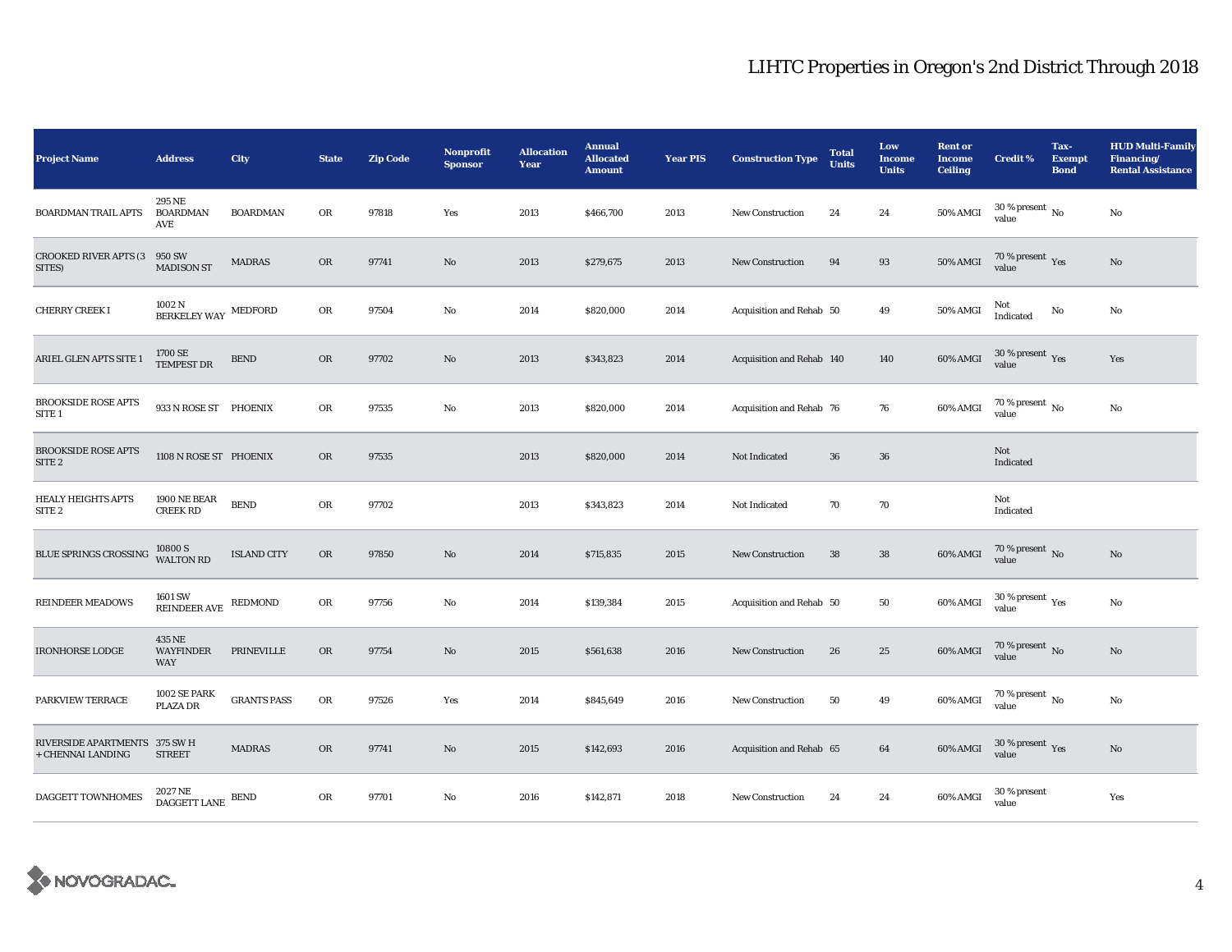| <b>Project Name</b>                                | <b>Address</b>                                                                                         | City               | <b>State</b> | <b>Zip Code</b> | Nonprofit<br><b>Sponsor</b> | <b>Allocation</b><br>Year | <b>Annual</b><br><b>Allocated</b><br><b>Amount</b> | <b>Year PIS</b> | <b>Construction Type</b>  | <b>Total</b><br><b>Units</b> | Low<br><b>Income</b><br><b>Units</b> | <b>Rent or</b><br><b>Income</b><br><b>Ceiling</b> | <b>Credit %</b>                             | Tax-<br><b>Exempt</b><br><b>Bond</b> | <b>HUD Multi-Family</b><br>Financing/<br><b>Rental Assistance</b> |
|----------------------------------------------------|--------------------------------------------------------------------------------------------------------|--------------------|--------------|-----------------|-----------------------------|---------------------------|----------------------------------------------------|-----------------|---------------------------|------------------------------|--------------------------------------|---------------------------------------------------|---------------------------------------------|--------------------------------------|-------------------------------------------------------------------|
| <b>BOARDMAN TRAIL APTS</b>                         | 295 NE<br>BOARDMAN<br>AVE                                                                              | <b>BOARDMAN</b>    | OR           | 97818           | Yes                         | 2013                      | \$466,700                                          | 2013            | New Construction          | 24                           | 24                                   | 50% AMGI                                          | $30$ % present $\,$ No $\,$<br>value        |                                      | No                                                                |
| <b>CROOKED RIVER APTS (3)</b><br>SITES)            | 950 SW<br><b>MADISON ST</b>                                                                            | <b>MADRAS</b>      | OR           | 97741           | No                          | 2013                      | \$279,675                                          | 2013            | New Construction          | 94                           | 93                                   | 50% AMGI                                          | 70 % present $\,$ Yes<br>value              |                                      | $\mathbf{No}$                                                     |
| CHERRY CREEK I                                     | 1002 N<br>BERKELEY WAY                                                                                 | MEDFORD            | OR           | 97504           | No                          | 2014                      | \$820,000                                          | 2014            | Acquisition and Rehab 50  |                              | 49                                   | 50% AMGI                                          | Not<br>Indicated                            | No                                   | No                                                                |
| ARIEL GLEN APTS SITE 1                             | $1700$ SE TEMPEST DR                                                                                   | ${\tt BEND}$       | OR           | 97702           | $\mathbf{N}\mathbf{o}$      | 2013                      | \$343,823                                          | 2014            | Acquisition and Rehab 140 |                              | 140                                  | 60% AMGI                                          | $30\,\%$ present $\,\mathrm{Yes}$ value     |                                      | Yes                                                               |
| <b>BROOKSIDE ROSE APTS</b><br>SITE <sub>1</sub>    | 933 N ROSE ST PHOENIX                                                                                  |                    | OR           | 97535           | No                          | 2013                      | \$820,000                                          | 2014            | Acquisition and Rehab 76  |                              | 76                                   | 60% AMGI                                          | $70$ % present $\,$ No $\,$<br>value        |                                      | No                                                                |
| <b>BROOKSIDE ROSE APTS</b><br>SITE <sub>2</sub>    | 1108 N ROSE ST PHOENIX                                                                                 |                    | OR           | 97535           |                             | 2013                      | \$820,000                                          | 2014            | Not Indicated             | 36                           | ${\bf 36}$                           |                                                   | Not<br>Indicated                            |                                      |                                                                   |
| <b>HEALY HEIGHTS APTS</b><br>SITE <sub>2</sub>     | <b>1900 NE BEAR</b><br><b>CREEK RD</b>                                                                 | <b>BEND</b>        | OR           | 97702           |                             | 2013                      | \$343,823                                          | 2014            | Not Indicated             | 70                           | 70                                   |                                                   | Not<br>Indicated                            |                                      |                                                                   |
| BLUE SPRINGS CROSSING                              | 10800 S<br>WALTON RD                                                                                   | <b>ISLAND CITY</b> | OR           | 97850           | No                          | 2014                      | \$715,835                                          | 2015            | New Construction          | 38                           | ${\bf 38}$                           | 60% AMGI                                          | $70$ % present $\,$ No value                |                                      | $\mathbf{No}$                                                     |
| <b>REINDEER MEADOWS</b>                            | 1601 SW<br>REINDEER AVE                                                                                | REDMOND            | OR           | 97756           | No                          | 2014                      | \$139,384                                          | 2015            | Acquisition and Rehab 50  |                              | 50                                   | 60% AMGI                                          | 30 % present $\rm\thinspace_{Yes}$<br>value |                                      | No                                                                |
| <b>IRONHORSE LODGE</b>                             | 435 NE<br><b>WAYFINDER</b><br><b>WAY</b>                                                               | PRINEVILLE         | ${\rm OR}$   | 97754           | $\mathbf{N}\mathbf{o}$      | 2015                      | \$561,638                                          | 2016            | <b>New Construction</b>   | 26                           | $25\,$                               | 60% AMGI                                          | $70$ % present $\,$ No $\,$ value $\,$      |                                      | $\mathbf{No}$                                                     |
| <b>PARKVIEW TERRACE</b>                            | 1002 SE PARK<br>PLAZA DR                                                                               | <b>GRANTS PASS</b> | ${\rm OR}$   | 97526           | Yes                         | 2014                      | \$845,649                                          | 2016            | New Construction          | 50                           | 49                                   | 60% AMGI                                          | $70$ % present $\,$ No $\,$<br>value        |                                      | No                                                                |
| RIVERSIDE APARTMENTS 375 SW H<br>+ CHENNAI LANDING | <b>STREET</b>                                                                                          | <b>MADRAS</b>      | OR           | 97741           | No                          | 2015                      | \$142,693                                          | 2016            | Acquisition and Rehab 65  |                              | 64                                   | 60% AMGI                                          | $30\,\%$ present $\,\mathrm{Yes}$ value     |                                      | $\mathbf{No}$                                                     |
| DAGGETT TOWNHOMES                                  | $2027\,\mathrm{NE}$<br>$\stackrel{\cdot -}{\text{DAGGETT}}$ LANE $\stackrel{\text{BEND}}{\text{BEND}}$ |                    | OR           | 97701           | No                          | 2016                      | \$142,871                                          | 2018            | New Construction          | 24                           | 24                                   | 60% AMGI                                          | 30 % present<br>value                       |                                      | Yes                                                               |

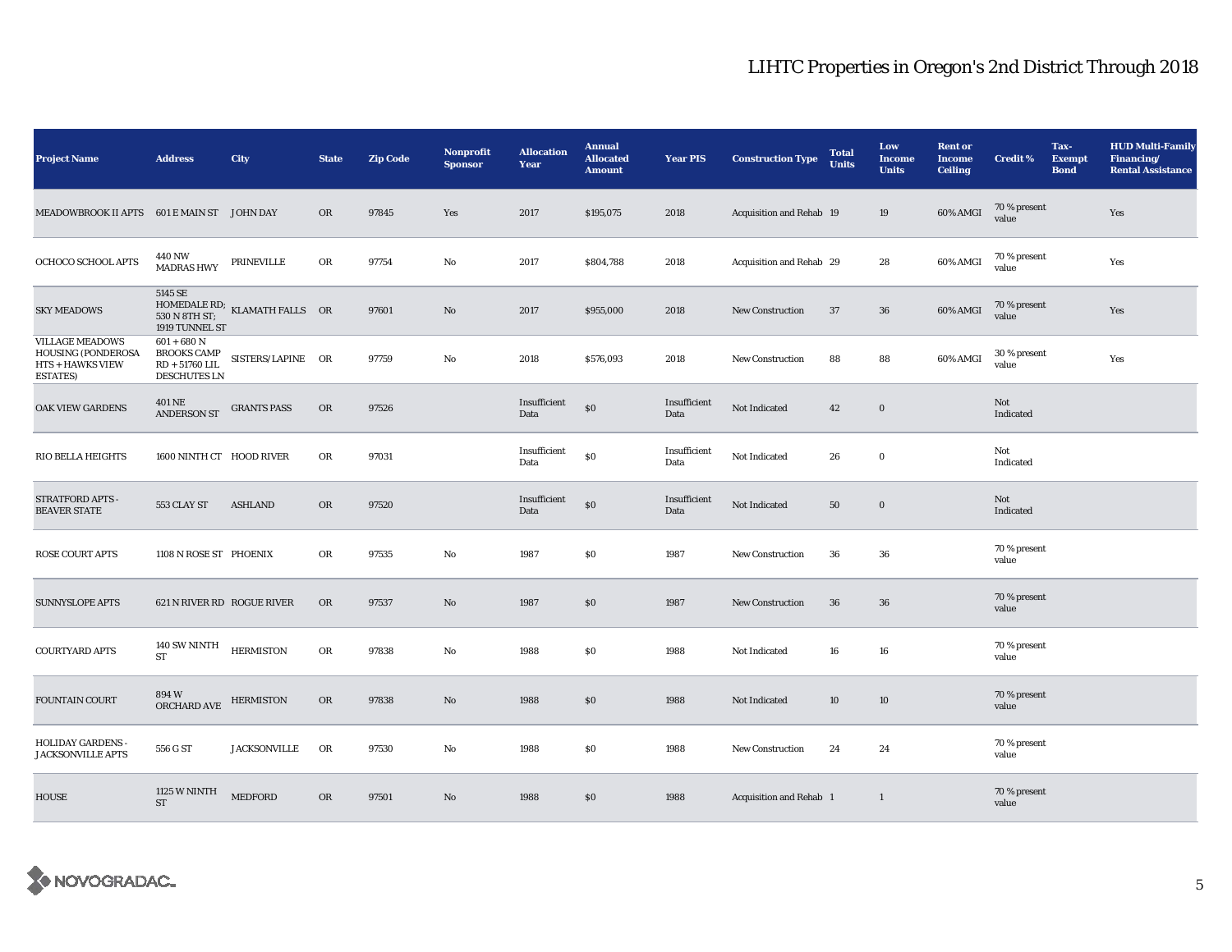| <b>Project Name</b>                                                                         | <b>Address</b>                                                                 | City                                                                                            | <b>State</b> | <b>Zip Code</b> | Nonprofit<br><b>Sponsor</b> | <b>Allocation</b><br>Year | <b>Annual</b><br><b>Allocated</b><br><b>Amount</b> | <b>Year PIS</b>      | <b>Construction Type</b> | <b>Total</b><br><b>Units</b> | Low<br><b>Income</b><br><b>Units</b> | <b>Rent or</b><br><b>Income</b><br><b>Ceiling</b> | <b>Credit %</b>       | Tax-<br><b>Exempt</b><br><b>Bond</b> | <b>HUD Multi-Family</b><br>Financing/<br><b>Rental Assistance</b> |
|---------------------------------------------------------------------------------------------|--------------------------------------------------------------------------------|-------------------------------------------------------------------------------------------------|--------------|-----------------|-----------------------------|---------------------------|----------------------------------------------------|----------------------|--------------------------|------------------------------|--------------------------------------|---------------------------------------------------|-----------------------|--------------------------------------|-------------------------------------------------------------------|
| MEADOWBROOK II APTS 601 E MAIN ST JOHN DAY                                                  |                                                                                |                                                                                                 | OR           | 97845           | Yes                         | 2017                      | \$195,075                                          | 2018                 | Acquisition and Rehab 19 |                              | 19                                   | 60% AMGI                                          | 70 % present<br>value |                                      | Yes                                                               |
| OCHOCO SCHOOL APTS                                                                          | 440 NW<br><b>MADRAS HWY</b>                                                    | PRINEVILLE                                                                                      | OR           | 97754           | No                          | 2017                      | \$804,788                                          | 2018                 | Acquisition and Rehab 29 |                              | 28                                   | 60% AMGI                                          | 70 % present<br>value |                                      | Yes                                                               |
| <b>SKY MEADOWS</b>                                                                          | 5145 SE<br>1919 TUNNEL ST                                                      | $\begin{tabular}{ll} HOMEDALE RD; & KLAMATH FALLS & OR \\ 530 N 8TH ST; & & & \\ \end{tabular}$ |              | 97601           | No                          | 2017                      | \$955,000                                          | 2018                 | New Construction         | 37                           | 36                                   | 60% AMGI                                          | 70 % present<br>value |                                      | Yes                                                               |
| <b>VILLAGE MEADOWS</b><br>HOUSING (PONDEROSA<br><b>HTS + HAWKS VIEW</b><br><b>ESTATES</b> ) | $601 + 680$ N<br><b>BROOKS CAMP</b><br>$RD + 51760$ LIL<br><b>DESCHUTES LN</b> | SISTERS/LAPINE OR                                                                               |              | 97759           | No                          | 2018                      | \$576,093                                          | 2018                 | New Construction         | 88                           | 88                                   | 60% AMGI                                          | 30 % present<br>value |                                      | Yes                                                               |
| OAK VIEW GARDENS                                                                            | <b>401 NE</b><br><b>ANDERSON ST</b>                                            | <b>GRANTS PASS</b>                                                                              | <b>OR</b>    | 97526           |                             | Insufficient<br>Data      | \$0                                                | Insufficient<br>Data | Not Indicated            | 42                           | $\bf{0}$                             |                                                   | Not<br>Indicated      |                                      |                                                                   |
| RIO BELLA HEIGHTS                                                                           | 1600 NINTH CT HOOD RIVER                                                       |                                                                                                 | ${\rm OR}$   | 97031           |                             | Insufficient<br>Data      | $\$0$                                              | Insufficient<br>Data | Not Indicated            | 26                           | $\mathbf 0$                          |                                                   | Not<br>Indicated      |                                      |                                                                   |
| STRATFORD APTS -<br><b>BEAVER STATE</b>                                                     | 553 CLAY ST                                                                    | <b>ASHLAND</b>                                                                                  | <b>OR</b>    | 97520           |                             | Insufficient<br>Data      | $\$0$                                              | Insufficient<br>Data | Not Indicated            | 50                           | $\mathbf 0$                          |                                                   | Not<br>Indicated      |                                      |                                                                   |
| <b>ROSE COURT APTS</b>                                                                      | 1108 N ROSE ST PHOENIX                                                         |                                                                                                 | OR           | 97535           | No                          | 1987                      | $\$0$                                              | 1987                 | New Construction         | 36                           | 36                                   |                                                   | 70 % present<br>value |                                      |                                                                   |
| <b>SUNNYSLOPE APTS</b>                                                                      | 621 N RIVER RD ROGUE RIVER                                                     |                                                                                                 | OR           | 97537           | No                          | 1987                      | \$0                                                | 1987                 | New Construction         | 36                           | 36                                   |                                                   | 70 % present<br>value |                                      |                                                                   |
| <b>COURTYARD APTS</b>                                                                       | $140$ SW NINTH $\,$<br><b>ST</b>                                               | <b>HERMISTON</b>                                                                                | OR           | 97838           | No                          | 1988                      | \$0\$                                              | 1988                 | Not Indicated            | 16                           | 16                                   |                                                   | 70 % present<br>value |                                      |                                                                   |
| FOUNTAIN COURT                                                                              | 894W<br>ORCHARD AVE                                                            | <b>HERMISTON</b>                                                                                | OR           | 97838           | No                          | 1988                      | \$0                                                | 1988                 | Not Indicated            | 10                           | 10                                   |                                                   | 70 % present<br>value |                                      |                                                                   |
| <b>HOLIDAY GARDENS -</b><br><b>JACKSONVILLE APTS</b>                                        | 556 G ST                                                                       | <b>JACKSONVILLE</b>                                                                             | OR           | 97530           | No                          | 1988                      | \$0                                                | 1988                 | New Construction         | 24                           | 24                                   |                                                   | 70 % present<br>value |                                      |                                                                   |
| <b>HOUSE</b>                                                                                | 1125 W NINTH<br><b>ST</b>                                                      | <b>MEDFORD</b>                                                                                  | OR           | 97501           | No                          | 1988                      | \$0                                                | 1988                 | Acquisition and Rehab 1  |                              | $\mathbf{1}$                         |                                                   | 70 % present<br>value |                                      |                                                                   |

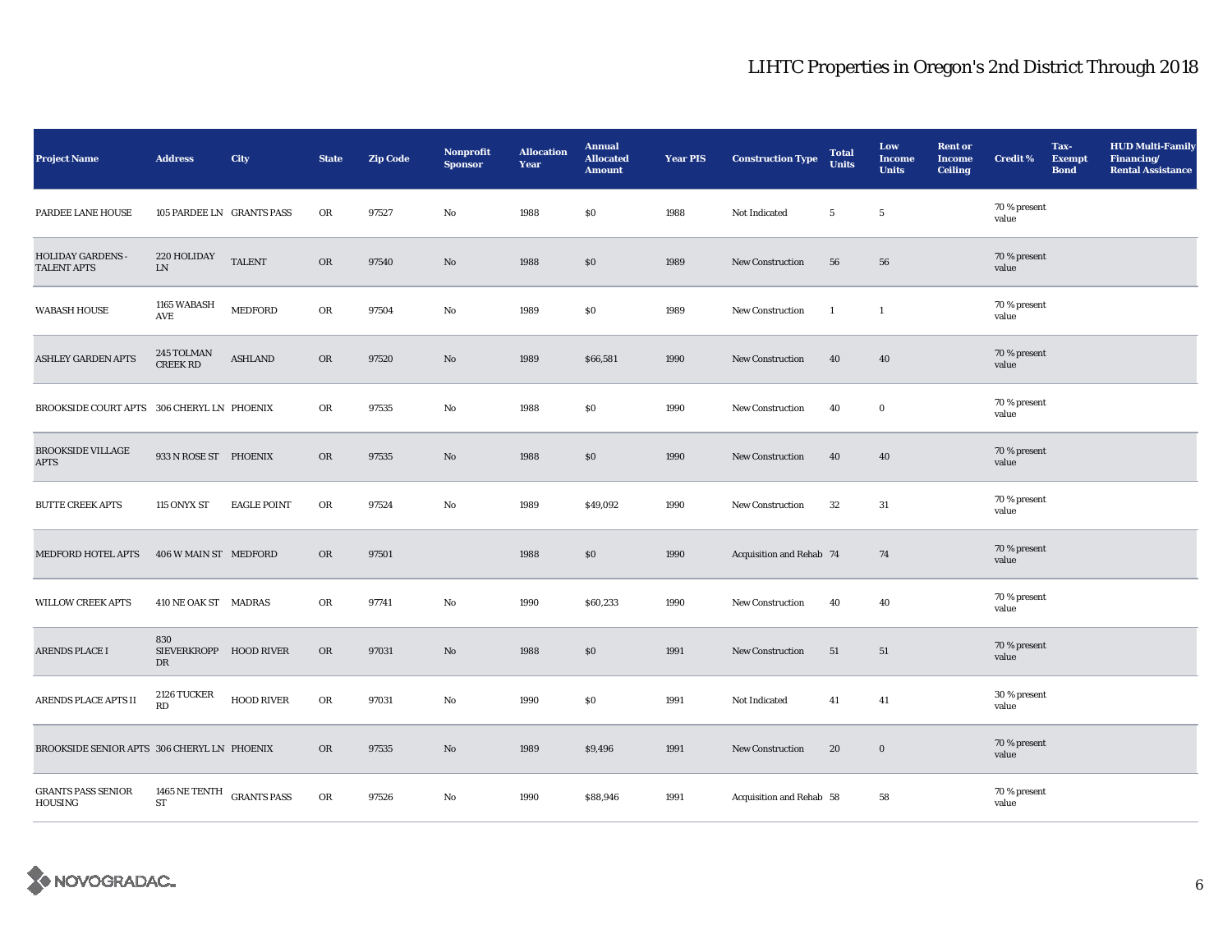| <b>Project Name</b>                            | <b>Address</b>                      | City               | <b>State</b> | <b>Zip Code</b> | <b>Nonprofit</b><br><b>Sponsor</b> | <b>Allocation</b><br>Year | <b>Annual</b><br><b>Allocated</b><br><b>Amount</b> | <b>Year PIS</b> | <b>Construction Type</b> | <b>Total</b><br><b>Units</b> | Low<br><b>Income</b><br><b>Units</b> | <b>Rent or</b><br><b>Income</b><br><b>Ceiling</b> | <b>Credit %</b>       | Tax-<br><b>Exempt</b><br><b>Bond</b> | <b>HUD Multi-Family</b><br>Financing/<br><b>Rental Assistance</b> |
|------------------------------------------------|-------------------------------------|--------------------|--------------|-----------------|------------------------------------|---------------------------|----------------------------------------------------|-----------------|--------------------------|------------------------------|--------------------------------------|---------------------------------------------------|-----------------------|--------------------------------------|-------------------------------------------------------------------|
| PARDEE LANE HOUSE                              | 105 PARDEE LN GRANTS PASS           |                    | OR           | 97527           | $\rm No$                           | 1988                      | $\$0$                                              | 1988            | Not Indicated            | $5\phantom{.0}$              | $\overline{5}$                       |                                                   | 70 % present<br>value |                                      |                                                                   |
| <b>HOLIDAY GARDENS -</b><br><b>TALENT APTS</b> | 220 HOLIDAY<br>LN.                  | <b>TALENT</b>      | <b>OR</b>    | 97540           | $\rm No$                           | 1988                      | \$0                                                | 1989            | New Construction         | 56                           | ${\bf 56}$                           |                                                   | 70 % present<br>value |                                      |                                                                   |
| <b>WABASH HOUSE</b>                            | 1165 WABASH<br>AVE                  | <b>MEDFORD</b>     | OR           | 97504           | No                                 | 1989                      | $\$0$                                              | 1989            | New Construction         | $\mathbf{1}$                 | $\mathbf{1}$                         |                                                   | 70 % present<br>value |                                      |                                                                   |
| <b>ASHLEY GARDEN APTS</b>                      | 245 TOLMAN<br><b>CREEK RD</b>       | <b>ASHLAND</b>     | OR           | 97520           | $\mathbf{No}$                      | 1989                      | \$66,581                                           | 1990            | New Construction         | 40                           | 40                                   |                                                   | 70 % present<br>value |                                      |                                                                   |
| BROOKSIDE COURT APTS 306 CHERYL LN PHOENIX     |                                     |                    | OR           | 97535           | $\mathbf{N}\mathbf{o}$             | 1988                      | \$0                                                | 1990            | <b>New Construction</b>  | 40                           | $\bf{0}$                             |                                                   | 70 % present<br>value |                                      |                                                                   |
| <b>BROOKSIDE VILLAGE</b><br><b>APTS</b>        | 933 N ROSE ST PHOENIX               |                    | $_{\rm OR}$  | 97535           | $\mathbf{N}\mathbf{o}$             | 1988                      | \$0                                                | 1990            | New Construction         | 40                           | 40                                   |                                                   | 70 % present<br>value |                                      |                                                                   |
| <b>BUTTE CREEK APTS</b>                        | 115 ONYX ST                         | <b>EAGLE POINT</b> | OR           | 97524           | No                                 | 1989                      | \$49,092                                           | 1990            | <b>New Construction</b>  | $32\,$                       | $31\,$                               |                                                   | 70 % present<br>value |                                      |                                                                   |
| <b>MEDFORD HOTEL APTS</b>                      | 406 W MAIN ST MEDFORD               |                    | OR           | 97501           |                                    | 1988                      | $\$0$                                              | 1990            | Acquisition and Rehab 74 |                              | 74                                   |                                                   | 70 % present<br>value |                                      |                                                                   |
| <b>WILLOW CREEK APTS</b>                       | 410 NE OAK ST MADRAS                |                    | OR           | 97741           | No                                 | 1990                      | \$60,233                                           | 1990            | <b>New Construction</b>  | 40                           | 40                                   |                                                   | 70 % present<br>value |                                      |                                                                   |
| ARENDS PLACE I                                 | 830<br>SIEVERKROPP HOOD RIVER<br>DR |                    | ${\rm OR}$   | 97031           | $\rm No$                           | 1988                      | \$0\$                                              | 1991            | New Construction         | 51                           | 51                                   |                                                   | 70 % present<br>value |                                      |                                                                   |
| ARENDS PLACE APTS II                           | 2126 TUCKER<br>RD                   | <b>HOOD RIVER</b>  | ${\rm OR}$   | 97031           | No                                 | 1990                      | $\$0$                                              | 1991            | Not Indicated            | 41                           | 41                                   |                                                   | 30 % present<br>value |                                      |                                                                   |
| BROOKSIDE SENIOR APTS 306 CHERYL LN PHOENIX    |                                     |                    | OR           | 97535           | No                                 | 1989                      | \$9,496                                            | 1991            | <b>New Construction</b>  | 20                           | $\bf{0}$                             |                                                   | 70 % present<br>value |                                      |                                                                   |
| <b>GRANTS PASS SENIOR</b><br>HOUSING           | 1465 NE TENTH<br>${\rm ST}$         | <b>GRANTS PASS</b> | ${\rm OR}$   | 97526           | No                                 | 1990                      | \$88,946                                           | 1991            | Acquisition and Rehab 58 |                              | 58                                   |                                                   | 70 % present<br>value |                                      |                                                                   |

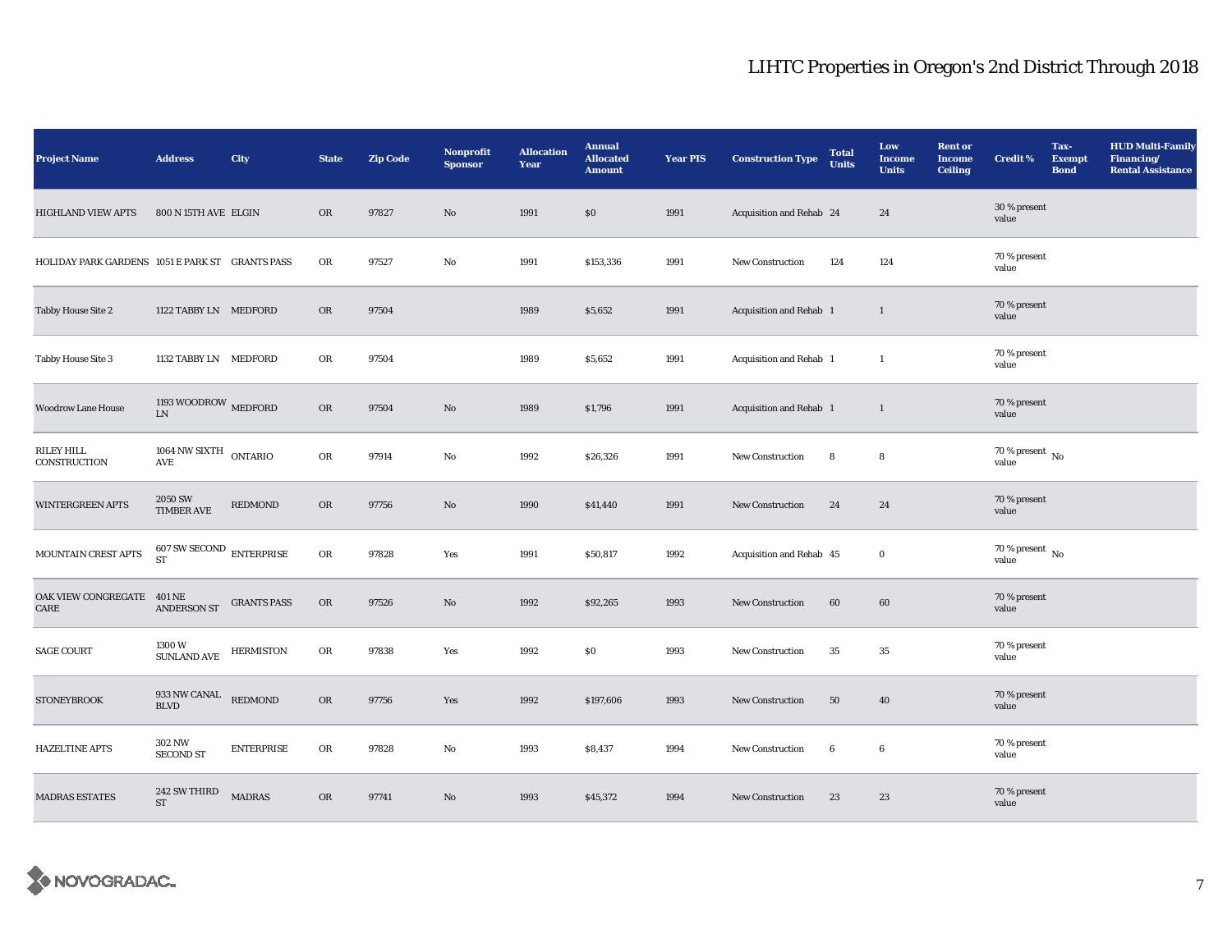| <b>Project Name</b>                             | <b>Address</b>                     | City               | <b>State</b> | <b>Zip Code</b> | Nonprofit<br><b>Sponsor</b> | <b>Allocation</b><br>Year | <b>Annual</b><br><b>Allocated</b><br><b>Amount</b> | <b>Year PIS</b> | <b>Construction Type</b> | <b>Total</b><br><b>Units</b> | Low<br><b>Income</b><br><b>Units</b> | <b>Rent or</b><br><b>Income</b><br><b>Ceiling</b> | <b>Credit %</b>                      | Tax-<br><b>Exempt</b><br><b>Bond</b> | <b>HUD Multi-Family</b><br>Financing/<br><b>Rental Assistance</b> |
|-------------------------------------------------|------------------------------------|--------------------|--------------|-----------------|-----------------------------|---------------------------|----------------------------------------------------|-----------------|--------------------------|------------------------------|--------------------------------------|---------------------------------------------------|--------------------------------------|--------------------------------------|-------------------------------------------------------------------|
| <b>HIGHLAND VIEW APTS</b>                       | 800 N 15TH AVE ELGIN               |                    | OR           | 97827           | No                          | 1991                      | \$0                                                | 1991            | Acquisition and Rehab 24 |                              | 24                                   |                                                   | 30 % present<br>value                |                                      |                                                                   |
| HOLIDAY PARK GARDENS 1051 E PARK ST GRANTS PASS |                                    |                    | OR           | 97527           | No                          | 1991                      | \$153,336                                          | 1991            | New Construction         | 124                          | 124                                  |                                                   | 70 % present<br>value                |                                      |                                                                   |
| <b>Tabby House Site 2</b>                       | 1122 TABBY LN MEDFORD              |                    | <b>OR</b>    | 97504           |                             | 1989                      | \$5,652                                            | 1991            | Acquisition and Rehab 1  |                              | $\mathbf{1}$                         |                                                   | 70 % present<br>value                |                                      |                                                                   |
| <b>Tabby House Site 3</b>                       | 1132 TABBY LN MEDFORD              |                    | OR           | 97504           |                             | 1989                      | \$5,652                                            | 1991            | Acquisition and Rehab 1  |                              | $\mathbf{1}$                         |                                                   | 70 % present<br>value                |                                      |                                                                   |
| <b>Woodrow Lane House</b>                       | 1193 WOODROW MEDFORD<br>LN         |                    | OR           | 97504           | No                          | 1989                      | \$1,796                                            | 1991            | Acquisition and Rehab 1  |                              | $\mathbf{1}$                         |                                                   | 70 % present<br>value                |                                      |                                                                   |
| <b>RILEY HILL</b><br>CONSTRUCTION               | 1064 NW SIXTH $\,$ ONTARIO<br>AVE  |                    | OR           | 97914           | No                          | 1992                      | \$26,326                                           | 1991            | New Construction         | 8                            | $\bf8$                               |                                                   | 70 % present $\,$ No $\,$<br>value   |                                      |                                                                   |
| <b>WINTERGREEN APTS</b>                         | 2050 SW<br><b>TIMBER AVE</b>       | REDMOND            | <b>OR</b>    | 97756           | No                          | 1990                      | \$41,440                                           | 1991            | <b>New Construction</b>  | 24                           | 24                                   |                                                   | 70 % present<br>value                |                                      |                                                                   |
| MOUNTAIN CREST APTS                             | $607$ SW SECOND $\,$ ENTERPRISE ST |                    | ${\rm OR}$   | 97828           | Yes                         | 1991                      | \$50,817                                           | 1992            | Acquisition and Rehab 45 |                              | $\bf{0}$                             |                                                   | $70$ % present $\,$ No $\,$<br>value |                                      |                                                                   |
| OAK VIEW CONGREGATE 401 NE<br>CARE              | <b>ANDERSON ST</b>                 | <b>GRANTS PASS</b> | ${\rm OR}$   | 97526           | No                          | 1992                      | \$92,265                                           | 1993            | <b>New Construction</b>  | 60                           | 60                                   |                                                   | 70 % present<br>value                |                                      |                                                                   |
| <b>SAGE COURT</b>                               | 1300 W<br>SUNLAND AVE              | <b>HERMISTON</b>   | OR           | 97838           | Yes                         | 1992                      | $\$0$                                              | 1993            | New Construction         | 35                           | 35                                   |                                                   | 70 % present<br>value                |                                      |                                                                   |
| <b>STONEYBROOK</b>                              | 933 NW CANAL<br><b>BLVD</b>        | REDMOND            | OR           | 97756           | Yes                         | 1992                      | \$197,606                                          | 1993            | New Construction         | 50                           | 40                                   |                                                   | 70 % present<br>value                |                                      |                                                                   |
| <b>HAZELTINE APTS</b>                           | 302 NW<br><b>SECOND ST</b>         | <b>ENTERPRISE</b>  | OR           | 97828           | No                          | 1993                      | \$8,437                                            | 1994            | New Construction         | $\boldsymbol{6}$             | 6                                    |                                                   | 70 % present<br>value                |                                      |                                                                   |
| <b>MADRAS ESTATES</b>                           | 242 SW THIRD<br><b>ST</b>          | <b>MADRAS</b>      | OR           | 97741           | $\mathbf{No}$               | 1993                      | \$45,372                                           | 1994            | New Construction         | 23                           | 23                                   |                                                   | 70 % present<br>value                |                                      |                                                                   |

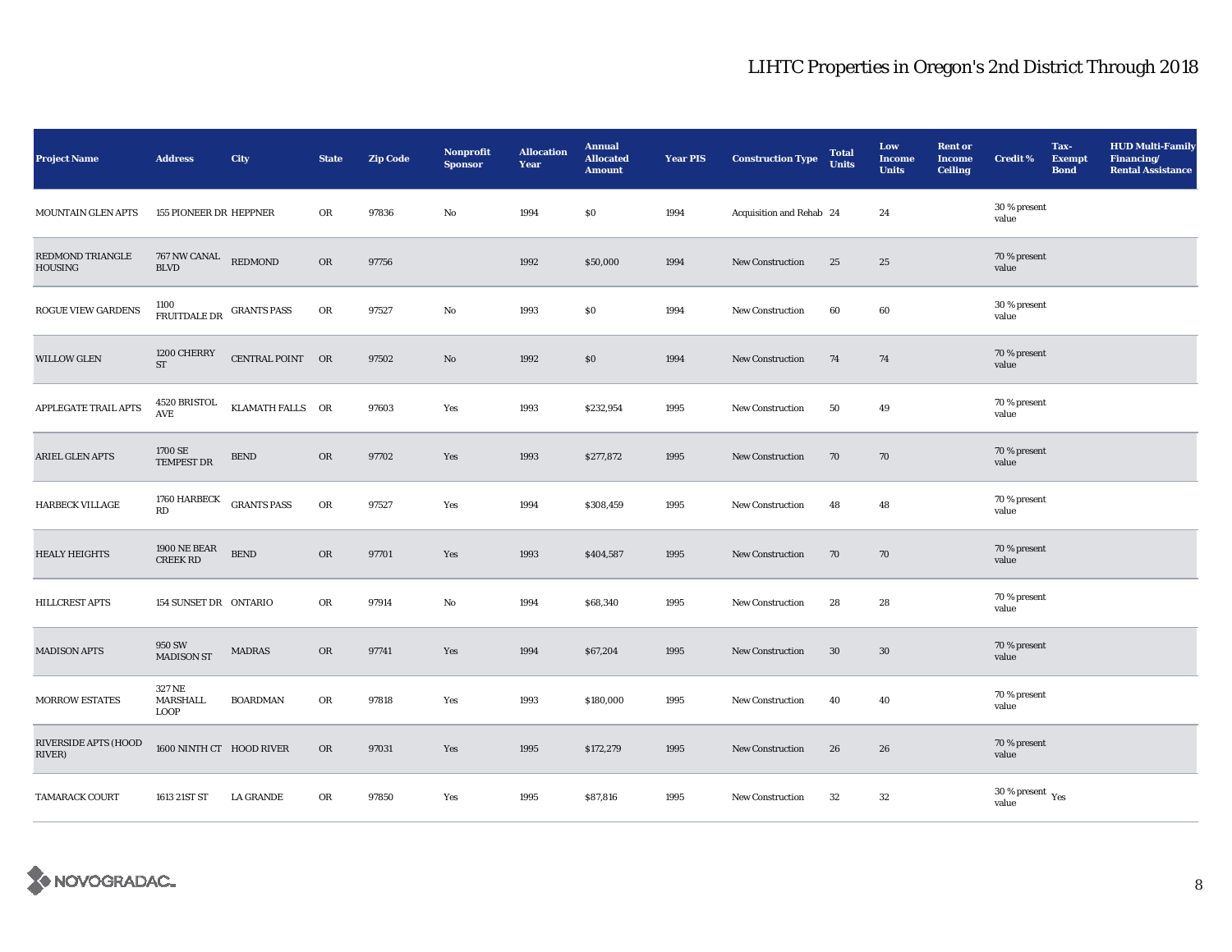| <b>Project Name</b>                       | <b>Address</b>                         | City               | <b>State</b> | <b>Zip Code</b> | <b>Nonprofit</b><br><b>Sponsor</b> | <b>Allocation</b><br>Year | <b>Annual</b><br><b>Allocated</b><br><b>Amount</b> | <b>Year PIS</b> | <b>Construction Type</b> | <b>Total</b><br><b>Units</b> | Low<br><b>Income</b><br><b>Units</b> | <b>Rent or</b><br><b>Income</b><br><b>Ceiling</b> | <b>Credit %</b>                  | Tax-<br><b>Exempt</b><br><b>Bond</b> | <b>HUD Multi-Family</b><br>Financing/<br><b>Rental Assistance</b> |
|-------------------------------------------|----------------------------------------|--------------------|--------------|-----------------|------------------------------------|---------------------------|----------------------------------------------------|-----------------|--------------------------|------------------------------|--------------------------------------|---------------------------------------------------|----------------------------------|--------------------------------------|-------------------------------------------------------------------|
| <b>MOUNTAIN GLEN APTS</b>                 | <b>155 PIONEER DR HEPPNER</b>          |                    | OR           | 97836           | $\rm No$                           | 1994                      | \$0\$                                              | 1994            | Acquisition and Rehab 24 |                              | 24                                   |                                                   | 30 % present<br>value            |                                      |                                                                   |
| <b>REDMOND TRIANGLE</b><br><b>HOUSING</b> | 767 NW CANAL REDMOND<br><b>BLVD</b>    |                    | OR           | 97756           |                                    | 1992                      | \$50,000                                           | 1994            | <b>New Construction</b>  | 25                           | 25                                   |                                                   | 70 % present<br>value            |                                      |                                                                   |
| ROGUE VIEW GARDENS                        | 1100<br>FRUITDALE DR GRANTS PASS       |                    | OR           | 97527           | No                                 | 1993                      | \$0                                                | 1994            | New Construction         | 60                           | 60                                   |                                                   | 30 % present<br>value            |                                      |                                                                   |
| <b>WILLOW GLEN</b>                        | 1200 CHERRY<br><b>ST</b>               | CENTRAL POINT OR   |              | 97502           | $\mathbf{N}\mathbf{o}$             | 1992                      | \$0                                                | 1994            | New Construction         | 74                           | 74                                   |                                                   | 70 % present<br>value            |                                      |                                                                   |
| APPLEGATE TRAIL APTS                      | 4520 BRISTOL<br>AVE                    | KLAMATH FALLS OR   |              | 97603           | Yes                                | 1993                      | \$232,954                                          | 1995            | New Construction         | 50                           | 49                                   |                                                   | 70 % present<br>value            |                                      |                                                                   |
| ARIEL GLEN APTS                           | 1700 SE<br>TEMPEST DR                  | ${\tt BEND}$       | $_{\rm OR}$  | 97702           | Yes                                | 1993                      | \$277,872                                          | 1995            | <b>New Construction</b>  | 70                           | 70                                   |                                                   | 70 % present<br>value            |                                      |                                                                   |
| <b>HARBECK VILLAGE</b>                    | 1760 HARBECK<br>RD                     | <b>GRANTS PASS</b> | OR           | 97527           | Yes                                | 1994                      | \$308,459                                          | 1995            | <b>New Construction</b>  | 48                           | 48                                   |                                                   | 70 % present<br>value            |                                      |                                                                   |
| <b>HEALY HEIGHTS</b>                      | <b>1900 NE BEAR</b><br><b>CREEK RD</b> | ${\tt BEND}$       | OR           | 97701           | Yes                                | 1993                      | \$404,587                                          | 1995            | New Construction         | 70                           | 70                                   |                                                   | 70 % present<br>value            |                                      |                                                                   |
| HILLCREST APTS                            | 154 SUNSET DR ONTARIO                  |                    | OR           | 97914           | No                                 | 1994                      | \$68,340                                           | 1995            | <b>New Construction</b>  | 28                           | 28                                   |                                                   | 70 % present<br>value            |                                      |                                                                   |
| <b>MADISON APTS</b>                       | 950 SW<br><b>MADISON ST</b>            | <b>MADRAS</b>      | OR           | 97741           | Yes                                | 1994                      | \$67,204                                           | 1995            | <b>New Construction</b>  | 30                           | 30                                   |                                                   | 70 % present<br>value            |                                      |                                                                   |
| <b>MORROW ESTATES</b>                     | 327 NE<br>MARSHALL<br><b>LOOP</b>      | <b>BOARDMAN</b>    | OR           | 97818           | Yes                                | 1993                      | \$180,000                                          | 1995            | <b>New Construction</b>  | 40                           | 40                                   |                                                   | 70 % present<br>value            |                                      |                                                                   |
| RIVERSIDE APTS (HOOD<br>RIVER)            | 1600 NINTH CT HOOD RIVER               |                    | OR           | 97031           | Yes                                | 1995                      | \$172,279                                          | 1995            | New Construction         | 26                           | 26                                   |                                                   | 70 % present<br>value            |                                      |                                                                   |
| <b>TAMARACK COURT</b>                     | 1613 21ST ST                           | <b>LA GRANDE</b>   | OR           | 97850           | Yes                                | 1995                      | \$87,816                                           | 1995            | New Construction         | 32                           | 32                                   |                                                   | 30 % present $\rm\,Yes$<br>value |                                      |                                                                   |

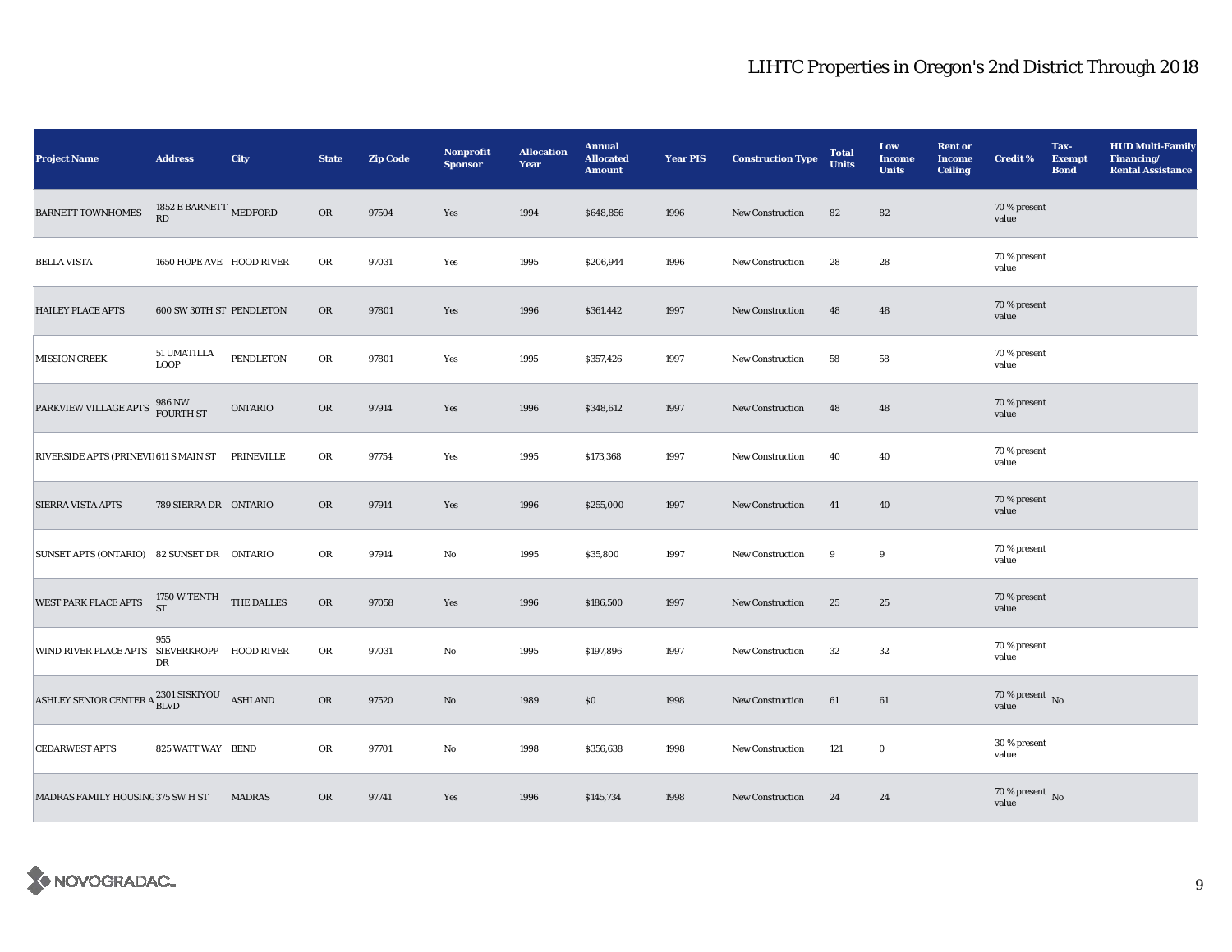| <b>Project Name</b>                                            | <b>Address</b>                            | City             | <b>State</b> | <b>Zip Code</b> | Nonprofit<br><b>Sponsor</b> | <b>Allocation</b><br>Year | <b>Annual</b><br><b>Allocated</b><br><b>Amount</b> | <b>Year PIS</b> | <b>Construction Type</b> | <b>Total</b><br><b>Units</b> | Low<br><b>Income</b><br><b>Units</b> | <b>Rent or</b><br><b>Income</b><br><b>Ceiling</b> | <b>Credit %</b>                    | Tax-<br><b>Exempt</b><br><b>Bond</b> | <b>HUD Multi-Family</b><br>Financing/<br><b>Rental Assistance</b> |
|----------------------------------------------------------------|-------------------------------------------|------------------|--------------|-----------------|-----------------------------|---------------------------|----------------------------------------------------|-----------------|--------------------------|------------------------------|--------------------------------------|---------------------------------------------------|------------------------------------|--------------------------------------|-------------------------------------------------------------------|
| <b>BARNETT TOWNHOMES</b>                                       | 1852 E BARNETT $\,$ MEDFORD<br>RD         |                  | OR           | 97504           | Yes                         | 1994                      | \$648,856                                          | 1996            | New Construction         | 82                           | 82                                   |                                                   | 70 % present<br>value              |                                      |                                                                   |
| <b>BELLA VISTA</b>                                             | 1650 HOPE AVE HOOD RIVER                  |                  | OR           | 97031           | Yes                         | 1995                      | \$206,944                                          | 1996            | New Construction         | 28                           | 28                                   |                                                   | 70 % present<br>value              |                                      |                                                                   |
| <b>HAILEY PLACE APTS</b>                                       | 600 SW 30TH ST PENDLETON                  |                  | OR           | 97801           | Yes                         | 1996                      | \$361,442                                          | 1997            | <b>New Construction</b>  | 48                           | 48                                   |                                                   | 70 % present<br>value              |                                      |                                                                   |
| <b>MISSION CREEK</b>                                           | 51 UMATILLA<br><b>LOOP</b>                | <b>PENDLETON</b> | OR           | 97801           | Yes                         | 1995                      | \$357,426                                          | 1997            | <b>New Construction</b>  | 58                           | 58                                   |                                                   | 70 % present<br>value              |                                      |                                                                   |
| PARKVIEW VILLAGE APTS                                          | 986 NW<br>FOURTH ST                       | <b>ONTARIO</b>   | <b>OR</b>    | 97914           | Yes                         | 1996                      | \$348,612                                          | 1997            | <b>New Construction</b>  | 48                           | 48                                   |                                                   | 70 % present<br>value              |                                      |                                                                   |
| RIVERSIDE APTS (PRINEVI) 611 S MAIN ST                         |                                           | PRINEVILLE       | OR           | 97754           | Yes                         | 1995                      | \$173,368                                          | 1997            | New Construction         | 40                           | 40                                   |                                                   | 70 % present<br>value              |                                      |                                                                   |
| <b>SIERRA VISTA APTS</b>                                       | 789 SIERRA DR ONTARIO                     |                  | OR           | 97914           | Yes                         | 1996                      | \$255,000                                          | 1997            | <b>New Construction</b>  | 41                           | 40                                   |                                                   | 70 % present<br>value              |                                      |                                                                   |
| SUNSET APTS (ONTARIO) 82 SUNSET DR  ONTARIO                    |                                           |                  | OR           | 97914           | No                          | 1995                      | \$35,800                                           | 1997            | <b>New Construction</b>  | 9                            | 9                                    |                                                   | 70 % present<br>value              |                                      |                                                                   |
| <b>WEST PARK PLACE APTS</b>                                    | $1750\text{ W TENTH} \quad$ THE DALLES ST |                  | OR           | 97058           | Yes                         | 1996                      | \$186,500                                          | 1997            | New Construction         | 25                           | 25                                   |                                                   | 70 % present<br>value              |                                      |                                                                   |
| WIND RIVER PLACE APTS SIEVERKROPP HOOD RIVER                   | 955<br>DR                                 |                  | OR           | 97031           | No                          | 1995                      | \$197,896                                          | 1997            | <b>New Construction</b>  | 32                           | $32\,$                               |                                                   | 70 % present<br>value              |                                      |                                                                   |
| ASHLEY SENIOR CENTER A $_{\rm BLVD}^{2301\; SISKIYOU}$ ASHLAND |                                           |                  | OR           | 97520           | No                          | 1989                      | \$0                                                | 1998            | New Construction         | 61                           | 61                                   |                                                   | 70 % present $\,$ No $\,$<br>value |                                      |                                                                   |
| <b>CEDARWEST APTS</b>                                          | 825 WATT WAY BEND                         |                  | OR           | 97701           | No                          | 1998                      | \$356,638                                          | 1998            | New Construction         | 121                          | $\bf{0}$                             |                                                   | 30 % present<br>value              |                                      |                                                                   |
| MADRAS FAMILY HOUSINC 375 SW H ST                              |                                           | <b>MADRAS</b>    | <b>OR</b>    | 97741           | Yes                         | 1996                      | \$145,734                                          | 1998            | New Construction         | 24                           | 24                                   |                                                   | $70$ % present $\,$ No $\,$ value  |                                      |                                                                   |

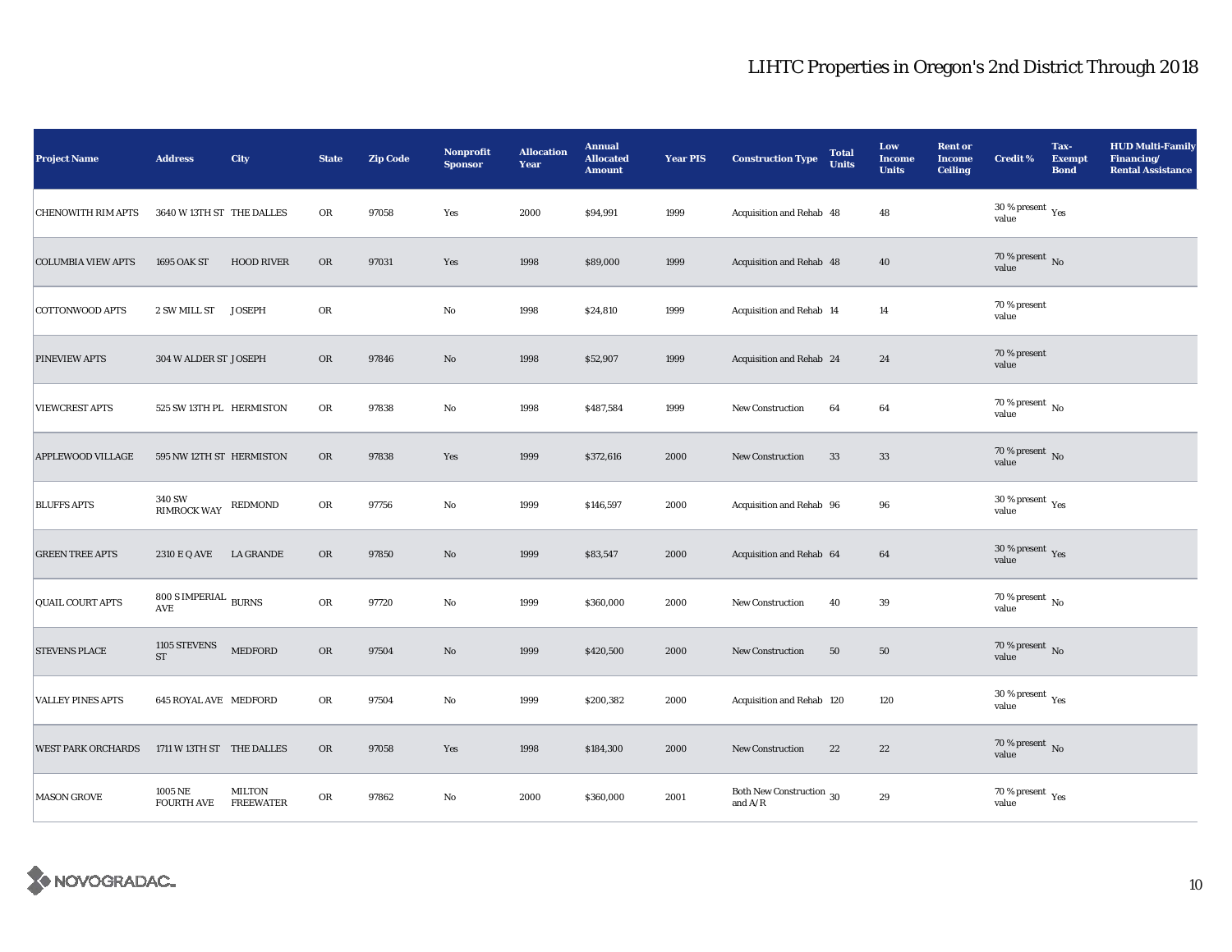| <b>Project Name</b>       | <b>Address</b>                                          | <b>City</b>                       | <b>State</b> | <b>Zip Code</b> | Nonprofit<br><b>Sponsor</b> | <b>Allocation</b><br>Year | <b>Annual</b><br><b>Allocated</b><br><b>Amount</b> | <b>Year PIS</b> | <b>Construction Type</b>              | <b>Total</b><br><b>Units</b> | Low<br><b>Income</b><br><b>Units</b> | <b>Rent or</b><br><b>Income</b><br><b>Ceiling</b> | <b>Credit %</b>                                 | Tax-<br><b>Exempt</b><br><b>Bond</b> | <b>HUD Multi-Family</b><br>Financing/<br><b>Rental Assistance</b> |
|---------------------------|---------------------------------------------------------|-----------------------------------|--------------|-----------------|-----------------------------|---------------------------|----------------------------------------------------|-----------------|---------------------------------------|------------------------------|--------------------------------------|---------------------------------------------------|-------------------------------------------------|--------------------------------------|-------------------------------------------------------------------|
| <b>CHENOWITH RIM APTS</b> | 3640 W 13TH ST THE DALLES                               |                                   | OR           | 97058           | Yes                         | 2000                      | \$94,991                                           | 1999            | Acquisition and Rehab 48              |                              | 48                                   |                                                   | $30$ % present $\,$ $\rm Yes$<br>value          |                                      |                                                                   |
| <b>COLUMBIA VIEW APTS</b> | 1695 OAK ST                                             | <b>HOOD RIVER</b>                 | <b>OR</b>    | 97031           | Yes                         | 1998                      | \$89,000                                           | 1999            | Acquisition and Rehab 48              |                              | 40                                   |                                                   | $70$ % present $\,$ No value                    |                                      |                                                                   |
| COTTONWOOD APTS           | 2 SW MILL ST JOSEPH                                     |                                   | OR           |                 | No                          | 1998                      | \$24,810                                           | 1999            | Acquisition and Rehab 14              |                              | 14                                   |                                                   | 70 % present<br>value                           |                                      |                                                                   |
| PINEVIEW APTS             | 304 W ALDER ST JOSEPH                                   |                                   | <b>OR</b>    | 97846           | No                          | 1998                      | \$52,907                                           | 1999            | Acquisition and Rehab 24              |                              | 24                                   |                                                   | 70 % present<br>value                           |                                      |                                                                   |
| <b>VIEWCREST APTS</b>     | 525 SW 13TH PL HERMISTON                                |                                   | OR           | 97838           | No                          | 1998                      | \$487,584                                          | 1999            | New Construction                      | 64                           | 64                                   |                                                   | 70 % present $\,$ No $\,$<br>value              |                                      |                                                                   |
| <b>APPLEWOOD VILLAGE</b>  | 595 NW 12TH ST HERMISTON                                |                                   | OR           | 97838           | Yes                         | 1999                      | \$372,616                                          | 2000            | New Construction                      | 33                           | $33\,$                               |                                                   | 70 % present $\hbox{~No}$<br>value              |                                      |                                                                   |
| <b>BLUFFS APTS</b>        | 340 SW<br><b>RIMROCK WAY</b>                            | REDMOND                           | OR           | 97756           | No                          | 1999                      | \$146,597                                          | 2000            | Acquisition and Rehab 96              |                              | 96                                   |                                                   | $30\,\%$ present $\,\mathrm{Yes}$ value         |                                      |                                                                   |
| <b>GREEN TREE APTS</b>    | 2310 E Q AVE LA GRANDE                                  |                                   | <b>OR</b>    | 97850           | No                          | 1999                      | \$83,547                                           | 2000            | Acquisition and Rehab 64              |                              | 64                                   |                                                   | 30 % present $\,$ Yes<br>value                  |                                      |                                                                   |
| QUAIL COURT APTS          | $800$ S IMPERIAL $_{\hbox{\small BURNS}}$<br><b>AVE</b> |                                   | ${\rm OR}$   | 97720           | No                          | 1999                      | \$360,000                                          | 2000            | <b>New Construction</b>               | 40                           | 39                                   |                                                   | $70\,\%$ present $\,$ No value                  |                                      |                                                                   |
| <b>STEVENS PLACE</b>      | 1105 STEVENS<br>ST                                      | <b>MEDFORD</b>                    | OR           | 97504           | No                          | 1999                      | \$420,500                                          | 2000            | New Construction                      | 50                           | 50                                   |                                                   | 70 % present $\,$ No $\,$<br>value              |                                      |                                                                   |
| <b>VALLEY PINES APTS</b>  | <b>645 ROYAL AVE MEDFORD</b>                            |                                   | OR           | 97504           | No                          | 1999                      | \$200,382                                          | 2000            | Acquisition and Rehab 120             |                              | 120                                  |                                                   | $30\,\%$ present $\rm\thinspace_{Yes}$<br>value |                                      |                                                                   |
| <b>WEST PARK ORCHARDS</b> | 1711 W 13TH ST THE DALLES                               |                                   | OR           | 97058           | Yes                         | 1998                      | \$184,300                                          | 2000            | New Construction                      | 22                           | 22                                   |                                                   | 70 % present $\hbox{~No}$<br>value              |                                      |                                                                   |
| <b>MASON GROVE</b>        | 1005 NE<br><b>FOURTH AVE</b>                            | <b>MILTON</b><br><b>FREEWATER</b> | OR           | 97862           | No                          | 2000                      | \$360,000                                          | 2001            | Both New Construction 30<br>and $A/R$ |                              | $\boldsymbol{29}$                    |                                                   | $70\,\%$ present $\,\mathrm{Yes}$ value         |                                      |                                                                   |

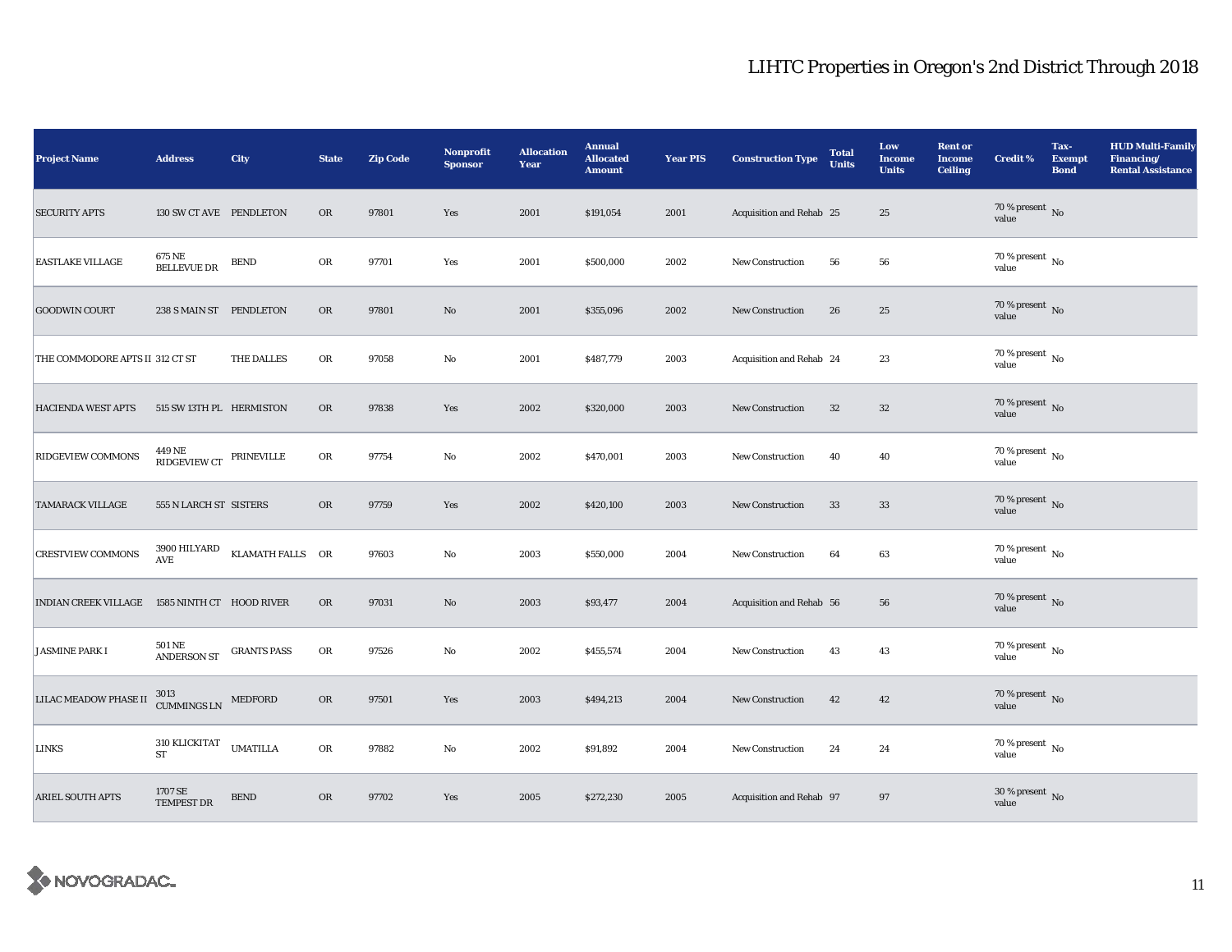| <b>Project Name</b>                           | <b>Address</b>                                                                                                                                                                              | City               | <b>State</b> | <b>Zip Code</b> | Nonprofit<br><b>Sponsor</b> | <b>Allocation</b><br>Year | <b>Annual</b><br><b>Allocated</b><br><b>Amount</b> | <b>Year PIS</b> | <b>Construction Type</b> | <b>Total</b><br><b>Units</b> | Low<br><b>Income</b><br><b>Units</b> | <b>Rent or</b><br><b>Income</b><br><b>Ceiling</b> | <b>Credit %</b>                        | Tax-<br><b>Exempt</b><br><b>Bond</b> | <b>HUD Multi-Family</b><br>Financing/<br><b>Rental Assistance</b> |
|-----------------------------------------------|---------------------------------------------------------------------------------------------------------------------------------------------------------------------------------------------|--------------------|--------------|-----------------|-----------------------------|---------------------------|----------------------------------------------------|-----------------|--------------------------|------------------------------|--------------------------------------|---------------------------------------------------|----------------------------------------|--------------------------------------|-------------------------------------------------------------------|
| <b>SECURITY APTS</b>                          | 130 SW CT AVE PENDLETON                                                                                                                                                                     |                    | OR           | 97801           | Yes                         | 2001                      | \$191,054                                          | 2001            | Acquisition and Rehab 25 |                              | $25\,$                               |                                                   | $70$ % present $\,$ No $\,$ value $\,$ |                                      |                                                                   |
| <b>EASTLAKE VILLAGE</b>                       | 675 NE<br><b>BELLEVUE DR</b>                                                                                                                                                                | <b>BEND</b>        | OR           | 97701           | Yes                         | 2001                      | \$500,000                                          | 2002            | New Construction         | 56                           | 56                                   |                                                   | $70$ % present $\,$ No value           |                                      |                                                                   |
| <b>GOODWIN COURT</b>                          | 238 S MAIN ST PENDLETON                                                                                                                                                                     |                    | <b>OR</b>    | 97801           | No                          | 2001                      | \$355,096                                          | 2002            | New Construction         | 26                           | 25                                   |                                                   | $70$ % present $\,$ No value           |                                      |                                                                   |
| THE COMMODORE APTS II 312 CT ST               |                                                                                                                                                                                             | THE DALLES         | OR           | 97058           | No                          | 2001                      | \$487,779                                          | 2003            | Acquisition and Rehab 24 |                              | 23                                   |                                                   | $70$ % present $\,$ No $\,$<br>value   |                                      |                                                                   |
| <b>HACIENDA WEST APTS</b>                     | 515 SW 13TH PL HERMISTON                                                                                                                                                                    |                    | <b>OR</b>    | 97838           | Yes                         | 2002                      | \$320,000                                          | 2003            | <b>New Construction</b>  | 32                           | $32\,$                               |                                                   | $70$ % present $\,$ No value           |                                      |                                                                   |
| RIDGEVIEW COMMONS                             | $\begin{tabular}{ll} \multicolumn{2}{c}{-} & \multicolumn{2}{c}{\textbf{PRINEVILLE}}\\ \multicolumn{2}{c}{\textbf{RIDGEVIEW CT}} & \multicolumn{2}{c}{\textbf{PRINEVILLE}}\\ \end{tabular}$ |                    | OR           | 97754           | No                          | 2002                      | \$470,001                                          | 2003            | <b>New Construction</b>  | 40                           | 40                                   |                                                   | 70 % present $\,$ No $\,$<br>value     |                                      |                                                                   |
| <b>TAMARACK VILLAGE</b>                       | 555 N LARCH ST SISTERS                                                                                                                                                                      |                    | OR           | 97759           | Yes                         | 2002                      | \$420,100                                          | 2003            | <b>New Construction</b>  | 33                           | $33\,$                               |                                                   | $70$ % present $\,$ No value           |                                      |                                                                   |
| <b>CRESTVIEW COMMONS</b>                      | 3900 HILYARD<br>AVE                                                                                                                                                                         | KLAMATH FALLS OR   |              | 97603           | No                          | 2003                      | \$550,000                                          | 2004            | <b>New Construction</b>  | 64                           | 63                                   |                                                   | $70$ % present $\,$ No value           |                                      |                                                                   |
| INDIAN CREEK VILLAGE 1585 NINTH CT HOOD RIVER |                                                                                                                                                                                             |                    | <b>OR</b>    | 97031           | $\mathbf{N}\mathbf{o}$      | 2003                      | \$93,477                                           | 2004            | Acquisition and Rehab 56 |                              | ${\bf 56}$                           |                                                   | $70$ % present $\,$ No value           |                                      |                                                                   |
| <b>JASMINE PARK I</b>                         | <b>501 NE</b><br><b>ANDERSON ST</b>                                                                                                                                                         | <b>GRANTS PASS</b> | OR           | 97526           | No                          | 2002                      | \$455,574                                          | 2004            | <b>New Construction</b>  | 43                           | 43                                   |                                                   | $70$ % present $\,$ No $\,$<br>value   |                                      |                                                                   |
| <b>LILAC MEADOW PHASE II</b>                  | $3013$ $$\tt CUMMINGS~LN$$ $$\tt MEDFORD$$                                                                                                                                                  |                    | OR           | 97501           | Yes                         | 2003                      | \$494,213                                          | 2004            | New Construction         | 42                           | 42                                   |                                                   | $70\,\%$ present $\,$ No value         |                                      |                                                                   |
| <b>LINKS</b>                                  | 310 KLICKITAT<br>ST                                                                                                                                                                         | <b>UMATILLA</b>    | OR           | 97882           | No                          | 2002                      | \$91,892                                           | 2004            | New Construction         | 24                           | 24                                   |                                                   | 70 % present $\,$ No $\,$<br>value     |                                      |                                                                   |
| <b>ARIEL SOUTH APTS</b>                       | 1707 SE<br><b>TEMPEST DR</b>                                                                                                                                                                | <b>BEND</b>        | OR           | 97702           | Yes                         | 2005                      | \$272,230                                          | 2005            | Acquisition and Rehab 97 |                              | 97                                   |                                                   | $30\,\%$ present $\,$ No value         |                                      |                                                                   |